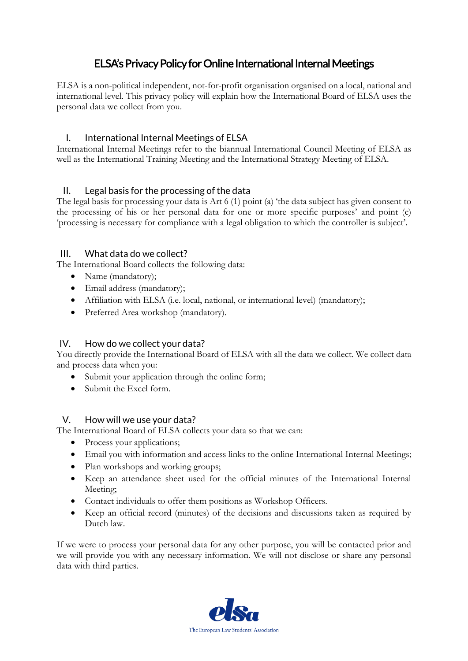# ELSA's Privacy Policy for Online International Internal Meetings

ELSA is a non-political independent, not-for-profit organisation organised on a local, national and international level. This privacy policy will explain how the International Board of ELSA uses the personal data we collect from you.

### I. International Internal Meetings of ELSA

International Internal Meetings refer to the biannual International Council Meeting of ELSA as well as the International Training Meeting and the International Strategy Meeting of ELSA.

## II. Legal basis for the processing of the data

The legal basis for processing your data is Art 6 (1) point (a) 'the data subject has given consent to the processing of his or her personal data for one or more specific purposes' and point (c) 'processing is necessary for compliance with a legal obligation to which the controller is subject'.

#### III. What data do we collect?

The International Board collects the following data:

- Name (mandatory);
- Email address (mandatory);
- Affiliation with ELSA (i.e. local, national, or international level) (mandatory);
- Preferred Area workshop (mandatory).

#### IV. How do we collect your data?

You directly provide the International Board of ELSA with all the data we collect. We collect data and process data when you:

- Submit your application through the online form;
- Submit the Excel form.

#### V. How will we use your data?

The International Board of ELSA collects your data so that we can:

- Process your applications;
- Email you with information and access links to the online International Internal Meetings;
- Plan workshops and working groups;
- Keep an attendance sheet used for the official minutes of the International Internal Meeting;
- Contact individuals to offer them positions as Workshop Officers.
- Keep an official record (minutes) of the decisions and discussions taken as required by Dutch law.

If we were to process your personal data for any other purpose, you will be contacted prior and we will provide you with any necessary information. We will not disclose or share any personal data with third parties.

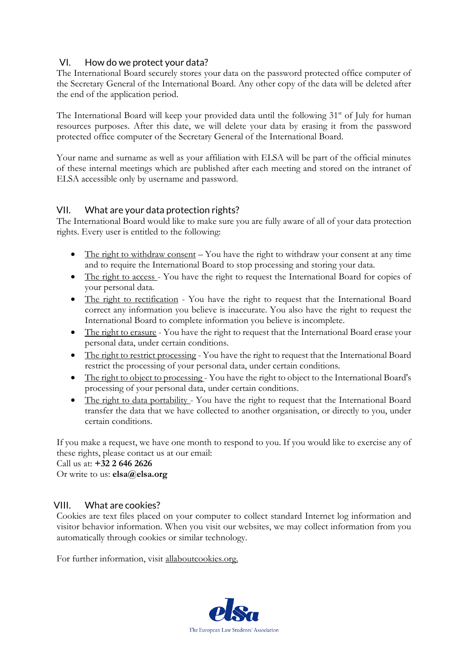### VI. How do we protect your data?

The International Board securely stores your data on the password protected office computer of the Secretary General of the International Board. Any other copy of the data will be deleted after the end of the application period.

The International Board will keep your provided data until the following 31<sup>st</sup> of July for human resources purposes. After this date, we will delete your data by erasing it from the password protected office computer of the Secretary General of the International Board.

Your name and surname as well as your affiliation with ELSA will be part of the official minutes of these internal meetings which are published after each meeting and stored on the intranet of ELSA accessible only by username and password.

#### VII. What are your data protection rights?

The International Board would like to make sure you are fully aware of all of your data protection rights. Every user is entitled to the following:

- The right to withdraw consent You have the right to withdraw your consent at any time and to require the International Board to stop processing and storing your data.
- The right to access You have the right to request the International Board for copies of your personal data.
- The right to rectification You have the right to request that the International Board correct any information you believe is inaccurate. You also have the right to request the International Board to complete information you believe is incomplete.
- The right to erasure You have the right to request that the International Board erase your personal data, under certain conditions.
- The right to restrict processing You have the right to request that the International Board restrict the processing of your personal data, under certain conditions.
- The right to object to processing You have the right to object to the International Board's processing of your personal data, under certain conditions.
- The right to data portability You have the right to request that the International Board transfer the data that we have collected to another organisation, or directly to you, under certain conditions.

If you make a request, we have one month to respond to you. If you would like to exercise any of these rights, please contact us at our email:

Call us at: **+32 2 646 2626**

Or write to us: **elsa@elsa.org**

#### VIII. What are cookies?

Cookies are text files placed on your computer to collect standard Internet log information and visitor behavior information. When you visit our websites, we may collect information from you automatically through cookies or similar technology.

For further information, visit allaboutcookies.org.